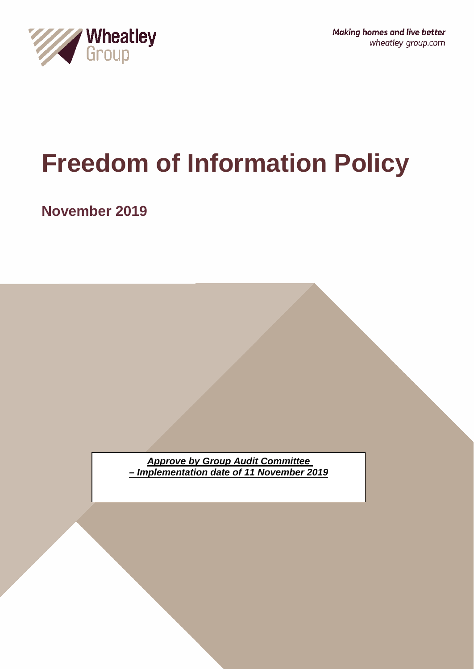

**Making homes and live better** wheatley-group.com

# **Freedom of Information Policy**

**November 2019**

*Approve by Group Audit Committee – Implementation date of 11 November 2019*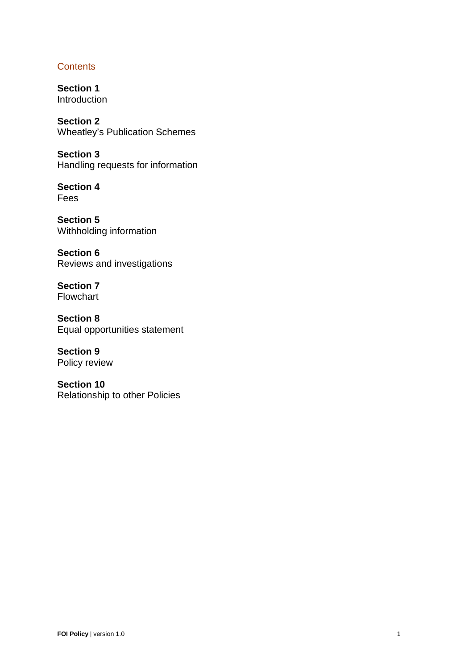# **Contents**

**Section 1** Introduction

**Section 2** Wheatley's Publication Schemes

**Section 3** Handling requests for information

**Section 4** Fees

**Section 5** Withholding information

**Section 6** Reviews and investigations

**Section 7** Flowchart

**Section 8** Equal opportunities statement

**Section 9** Policy review

**Section 10** Relationship to other Policies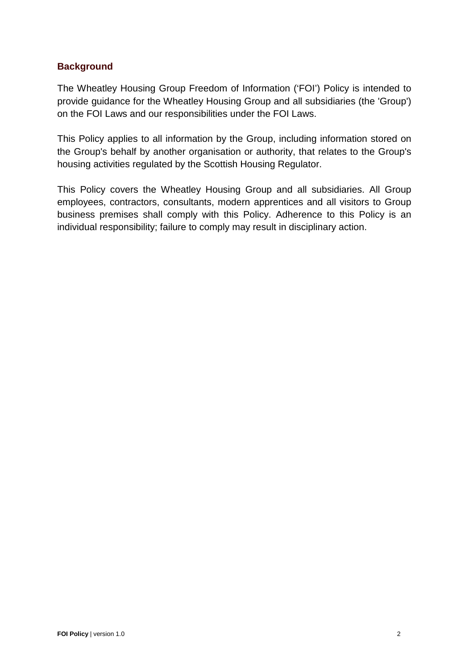# **Background**

The Wheatley Housing Group Freedom of Information ('FOI') Policy is intended to provide guidance for the Wheatley Housing Group and all subsidiaries (the 'Group') on the FOI Laws and our responsibilities under the FOI Laws.

This Policy applies to all information by the Group, including information stored on the Group's behalf by another organisation or authority, that relates to the Group's housing activities regulated by the Scottish Housing Regulator.

This Policy covers the Wheatley Housing Group and all subsidiaries. All Group employees, contractors, consultants, modern apprentices and all visitors to Group business premises shall comply with this Policy. Adherence to this Policy is an individual responsibility; failure to comply may result in disciplinary action.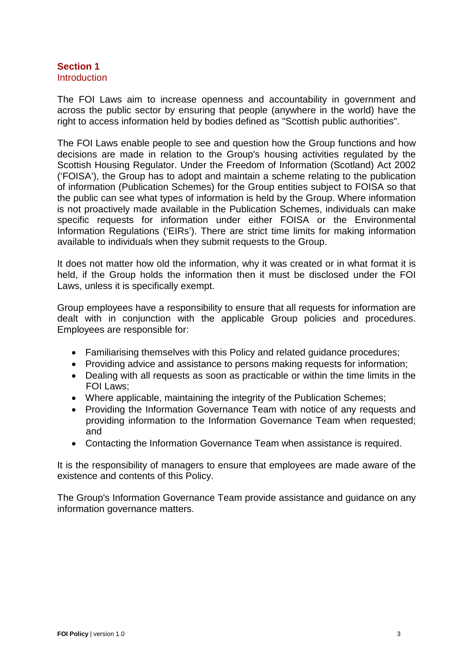#### **Section 1 Introduction**

The FOI Laws aim to increase openness and accountability in government and across the public sector by ensuring that people (anywhere in the world) have the right to access information held by bodies defined as "Scottish public authorities".

The FOI Laws enable people to see and question how the Group functions and how decisions are made in relation to the Group's housing activities regulated by the Scottish Housing Regulator. Under the Freedom of Information (Scotland) Act 2002 ('FOISA'), the Group has to adopt and maintain a scheme relating to the publication of information (Publication Schemes) for the Group entities subject to FOISA so that the public can see what types of information is held by the Group. Where information is not proactively made available in the Publication Schemes, individuals can make specific requests for information under either FOISA or the Environmental Information Regulations ('EIRs'). There are strict time limits for making information available to individuals when they submit requests to the Group.

It does not matter how old the information, why it was created or in what format it is held, if the Group holds the information then it must be disclosed under the FOI Laws, unless it is specifically exempt.

Group employees have a responsibility to ensure that all requests for information are dealt with in conjunction with the applicable Group policies and procedures. Employees are responsible for:

- Familiarising themselves with this Policy and related guidance procedures;
- Providing advice and assistance to persons making requests for information;
- Dealing with all requests as soon as practicable or within the time limits in the FOI Laws;
- Where applicable, maintaining the integrity of the Publication Schemes;
- Providing the Information Governance Team with notice of any requests and providing information to the Information Governance Team when requested; and
- Contacting the Information Governance Team when assistance is required.

It is the responsibility of managers to ensure that employees are made aware of the existence and contents of this Policy.

The Group's Information Governance Team provide assistance and guidance on any information governance matters.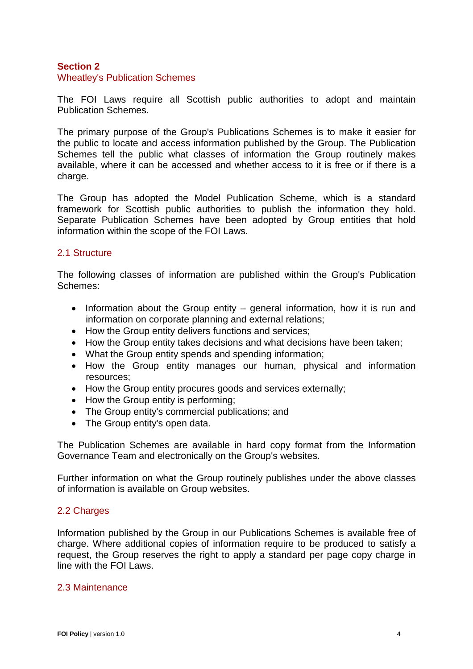## **Section 2**

#### Wheatley's Publication Schemes

The FOI Laws require all Scottish public authorities to adopt and maintain Publication Schemes.

The primary purpose of the Group's Publications Schemes is to make it easier for the public to locate and access information published by the Group. The Publication Schemes tell the public what classes of information the Group routinely makes available, where it can be accessed and whether access to it is free or if there is a charge.

The Group has adopted the Model Publication Scheme, which is a standard framework for Scottish public authorities to publish the information they hold. Separate Publication Schemes have been adopted by Group entities that hold information within the scope of the FOI Laws.

#### 2.1 Structure

The following classes of information are published within the Group's Publication Schemes:

- Information about the Group entity general information, how it is run and information on corporate planning and external relations;
- How the Group entity delivers functions and services;
- How the Group entity takes decisions and what decisions have been taken;
- What the Group entity spends and spending information;
- How the Group entity manages our human, physical and information resources;
- How the Group entity procures goods and services externally;
- How the Group entity is performing;
- The Group entity's commercial publications; and
- The Group entity's open data.

The Publication Schemes are available in hard copy format from the Information Governance Team and electronically on the Group's websites.

Further information on what the Group routinely publishes under the above classes of information is available on Group websites.

#### 2.2 Charges

Information published by the Group in our Publications Schemes is available free of charge. Where additional copies of information require to be produced to satisfy a request, the Group reserves the right to apply a standard per page copy charge in line with the FOI Laws.

#### 2.3 Maintenance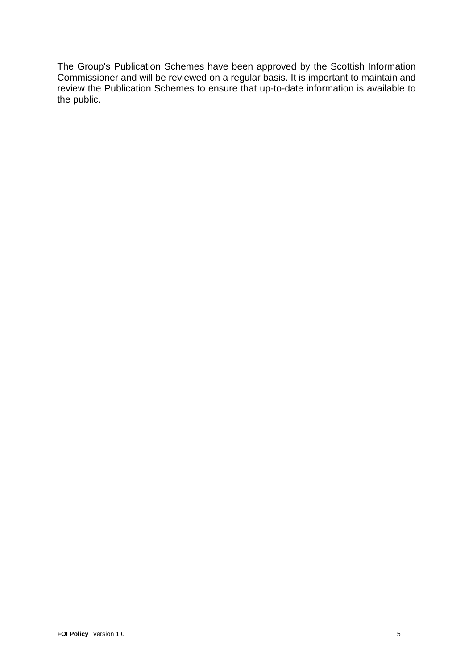The Group's Publication Schemes have been approved by the Scottish Information Commissioner and will be reviewed on a regular basis. It is important to maintain and review the Publication Schemes to ensure that up-to-date information is available to the public.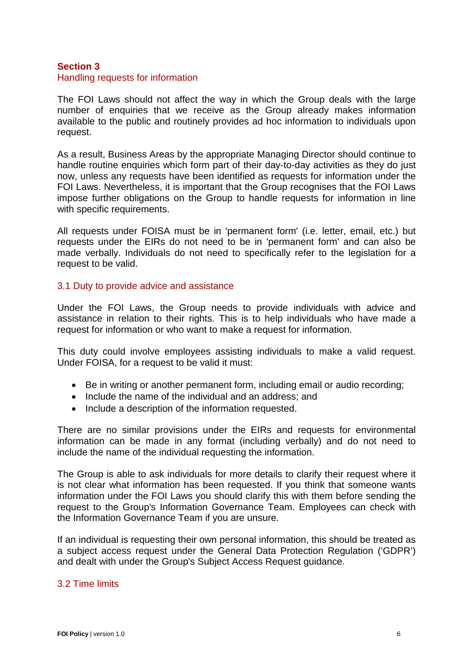## **Section 3**

#### Handling requests for information

The FOI Laws should not affect the way in which the Group deals with the large number of enquiries that we receive as the Group already makes information available to the public and routinely provides ad hoc information to individuals upon request.

As a result, Business Areas by the appropriate Managing Director should continue to handle routine enquiries which form part of their day-to-day activities as they do just now, unless any requests have been identified as requests for information under the FOI Laws. Nevertheless, it is important that the Group recognises that the FOI Laws impose further obligations on the Group to handle requests for information in line with specific requirements.

All requests under FOISA must be in 'permanent form' (i.e. letter, email, etc.) but requests under the EIRs do not need to be in 'permanent form' and can also be made verbally. Individuals do not need to specifically refer to the legislation for a request to be valid.

#### 3.1 Duty to provide advice and assistance

Under the FOI Laws, the Group needs to provide individuals with advice and assistance in relation to their rights. This is to help individuals who have made a request for information or who want to make a request for information.

This duty could involve employees assisting individuals to make a valid request. Under FOISA, for a request to be valid it must:

- Be in writing or another permanent form, including email or audio recording;
- Include the name of the individual and an address; and
- Include a description of the information requested.

There are no similar provisions under the EIRs and requests for environmental information can be made in any format (including verbally) and do not need to include the name of the individual requesting the information.

The Group is able to ask individuals for more details to clarify their request where it is not clear what information has been requested. If you think that someone wants information under the FOI Laws you should clarify this with them before sending the request to the Group's Information Governance Team. Employees can check with the Information Governance Team if you are unsure.

If an individual is requesting their own personal information, this should be treated as a subject access request under the General Data Protection Regulation ('GDPR') and dealt with under the Group's Subject Access Request guidance.

# 3.2 Time limits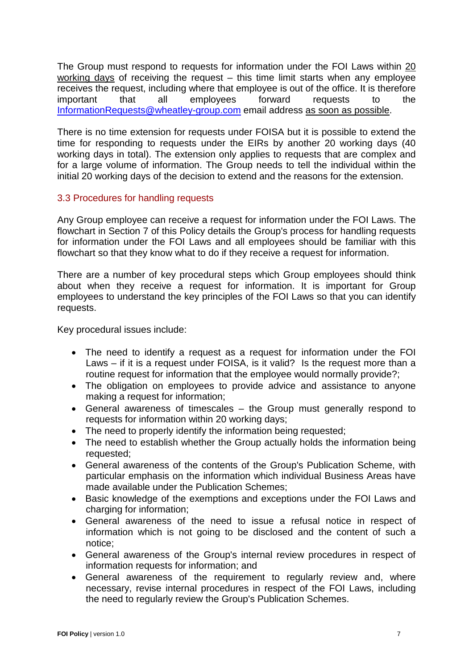The Group must respond to requests for information under the FOI Laws within 20 working days of receiving the request – this time limit starts when any employee receives the request, including where that employee is out of the office. It is therefore important that all employees forward requests to the [InformationRequests@wheatley-group.com](mailto:InformationRequests@wheatley-group.com) email address as soon as possible.

There is no time extension for requests under FOISA but it is possible to extend the time for responding to requests under the EIRs by another 20 working days (40 working days in total). The extension only applies to requests that are complex and for a large volume of information. The Group needs to tell the individual within the initial 20 working days of the decision to extend and the reasons for the extension.

# 3.3 Procedures for handling requests

Any Group employee can receive a request for information under the FOI Laws. The flowchart in Section 7 of this Policy details the Group's process for handling requests for information under the FOI Laws and all employees should be familiar with this flowchart so that they know what to do if they receive a request for information.

There are a number of key procedural steps which Group employees should think about when they receive a request for information. It is important for Group employees to understand the key principles of the FOI Laws so that you can identify requests.

Key procedural issues include:

- The need to identify a request as a request for information under the FOI Laws – if it is a request under FOISA, is it valid? Is the request more than a routine request for information that the employee would normally provide?;
- The obligation on employees to provide advice and assistance to anyone making a request for information;
- General awareness of timescales the Group must generally respond to requests for information within 20 working days;
- The need to properly identify the information being requested;
- The need to establish whether the Group actually holds the information being requested;
- General awareness of the contents of the Group's Publication Scheme, with particular emphasis on the information which individual Business Areas have made available under the Publication Schemes;
- Basic knowledge of the exemptions and exceptions under the FOI Laws and charging for information;
- General awareness of the need to issue a refusal notice in respect of information which is not going to be disclosed and the content of such a notice;
- General awareness of the Group's internal review procedures in respect of information requests for information; and
- General awareness of the requirement to regularly review and, where necessary, revise internal procedures in respect of the FOI Laws, including the need to regularly review the Group's Publication Schemes.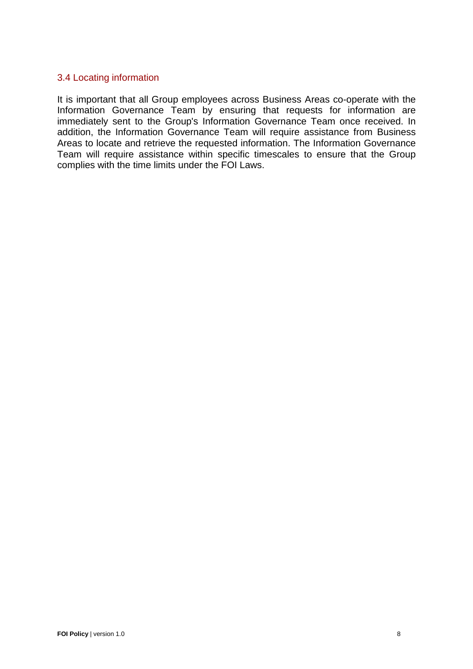## 3.4 Locating information

It is important that all Group employees across Business Areas co-operate with the Information Governance Team by ensuring that requests for information are immediately sent to the Group's Information Governance Team once received. In addition, the Information Governance Team will require assistance from Business Areas to locate and retrieve the requested information. The Information Governance Team will require assistance within specific timescales to ensure that the Group complies with the time limits under the FOI Laws.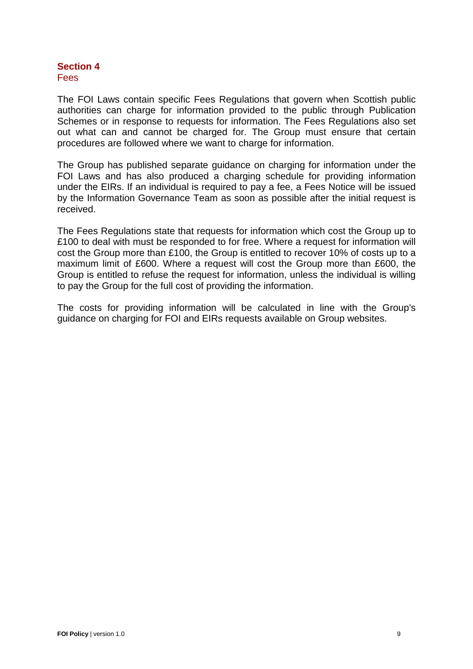## **Section 4 Fees**

The FOI Laws contain specific Fees Regulations that govern when Scottish public authorities can charge for information provided to the public through Publication Schemes or in response to requests for information. The Fees Regulations also set out what can and cannot be charged for. The Group must ensure that certain procedures are followed where we want to charge for information.

The Group has published separate guidance on charging for information under the FOI Laws and has also produced a charging schedule for providing information under the EIRs. If an individual is required to pay a fee, a Fees Notice will be issued by the Information Governance Team as soon as possible after the initial request is received.

The Fees Regulations state that requests for information which cost the Group up to £100 to deal with must be responded to for free. Where a request for information will cost the Group more than £100, the Group is entitled to recover 10% of costs up to a maximum limit of £600. Where a request will cost the Group more than £600, the Group is entitled to refuse the request for information, unless the individual is willing to pay the Group for the full cost of providing the information.

The costs for providing information will be calculated in line with the Group's guidance on charging for FOI and EIRs requests available on Group websites.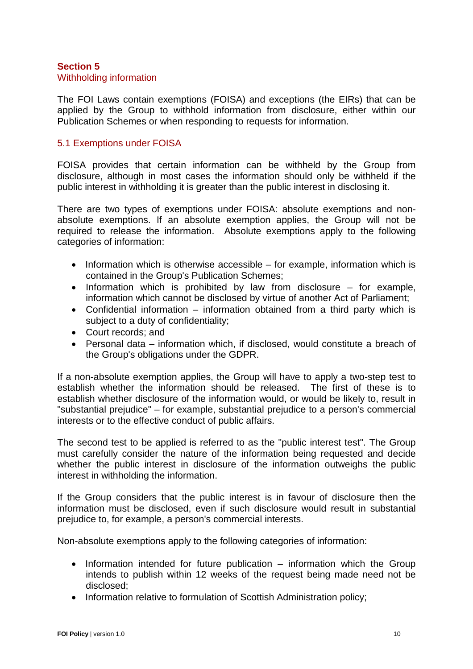#### **Section 5** Withholding information

The FOI Laws contain exemptions (FOISA) and exceptions (the EIRs) that can be applied by the Group to withhold information from disclosure, either within our Publication Schemes or when responding to requests for information.

## 5.1 Exemptions under FOISA

FOISA provides that certain information can be withheld by the Group from disclosure, although in most cases the information should only be withheld if the public interest in withholding it is greater than the public interest in disclosing it.

There are two types of exemptions under FOISA: absolute exemptions and nonabsolute exemptions. If an absolute exemption applies, the Group will not be required to release the information. Absolute exemptions apply to the following categories of information:

- Information which is otherwise accessible for example, information which is contained in the Group's Publication Schemes;
- Information which is prohibited by law from disclosure for example, information which cannot be disclosed by virtue of another Act of Parliament;
- Confidential information information obtained from a third party which is subject to a duty of confidentiality;
- Court records; and
- Personal data information which, if disclosed, would constitute a breach of the Group's obligations under the GDPR.

If a non-absolute exemption applies, the Group will have to apply a two-step test to establish whether the information should be released. The first of these is to establish whether disclosure of the information would, or would be likely to, result in "substantial prejudice" – for example, substantial prejudice to a person's commercial interests or to the effective conduct of public affairs.

The second test to be applied is referred to as the "public interest test". The Group must carefully consider the nature of the information being requested and decide whether the public interest in disclosure of the information outweighs the public interest in withholding the information.

If the Group considers that the public interest is in favour of disclosure then the information must be disclosed, even if such disclosure would result in substantial prejudice to, for example, a person's commercial interests.

Non-absolute exemptions apply to the following categories of information:

- Information intended for future publication information which the Group intends to publish within 12 weeks of the request being made need not be disclosed;
- Information relative to formulation of Scottish Administration policy;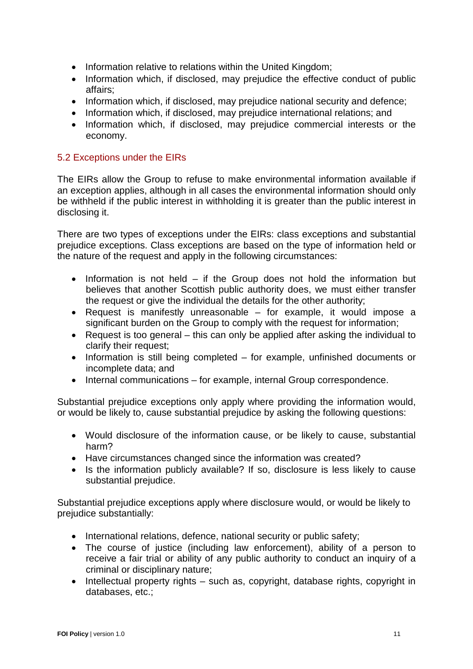- Information relative to relations within the United Kingdom;
- Information which, if disclosed, may prejudice the effective conduct of public affairs;
- Information which, if disclosed, may prejudice national security and defence;
- Information which, if disclosed, may prejudice international relations; and
- Information which, if disclosed, may prejudice commercial interests or the economy.

# 5.2 Exceptions under the EIRs

The EIRs allow the Group to refuse to make environmental information available if an exception applies, although in all cases the environmental information should only be withheld if the public interest in withholding it is greater than the public interest in disclosing it.

There are two types of exceptions under the EIRs: class exceptions and substantial prejudice exceptions. Class exceptions are based on the type of information held or the nature of the request and apply in the following circumstances:

- Information is not held if the Group does not hold the information but believes that another Scottish public authority does, we must either transfer the request or give the individual the details for the other authority;
- Request is manifestly unreasonable for example, it would impose a significant burden on the Group to comply with the request for information;
- Request is too general this can only be applied after asking the individual to clarify their request;
- Information is still being completed for example, unfinished documents or incomplete data; and
- Internal communications for example, internal Group correspondence.

Substantial prejudice exceptions only apply where providing the information would, or would be likely to, cause substantial prejudice by asking the following questions:

- Would disclosure of the information cause, or be likely to cause, substantial harm?
- Have circumstances changed since the information was created?
- Is the information publicly available? If so, disclosure is less likely to cause substantial prejudice.

Substantial prejudice exceptions apply where disclosure would, or would be likely to prejudice substantially:

- International relations, defence, national security or public safety;
- The course of justice (including law enforcement), ability of a person to receive a fair trial or ability of any public authority to conduct an inquiry of a criminal or disciplinary nature;
- Intellectual property rights such as, copyright, database rights, copyright in databases, etc.;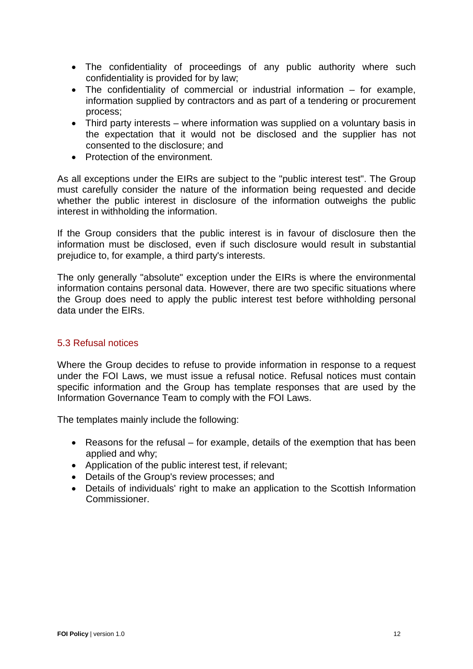- The confidentiality of proceedings of any public authority where such confidentiality is provided for by law;
- The confidentiality of commercial or industrial information for example, information supplied by contractors and as part of a tendering or procurement process;
- Third party interests where information was supplied on a voluntary basis in the expectation that it would not be disclosed and the supplier has not consented to the disclosure; and
- Protection of the environment.

As all exceptions under the EIRs are subject to the "public interest test". The Group must carefully consider the nature of the information being requested and decide whether the public interest in disclosure of the information outweighs the public interest in withholding the information.

If the Group considers that the public interest is in favour of disclosure then the information must be disclosed, even if such disclosure would result in substantial prejudice to, for example, a third party's interests.

The only generally "absolute" exception under the EIRs is where the environmental information contains personal data. However, there are two specific situations where the Group does need to apply the public interest test before withholding personal data under the EIRs.

# 5.3 Refusal notices

Where the Group decides to refuse to provide information in response to a request under the FOI Laws, we must issue a refusal notice. Refusal notices must contain specific information and the Group has template responses that are used by the Information Governance Team to comply with the FOI Laws.

The templates mainly include the following:

- Reasons for the refusal for example, details of the exemption that has been applied and why;
- Application of the public interest test, if relevant;
- Details of the Group's review processes; and
- Details of individuals' right to make an application to the Scottish Information Commissioner.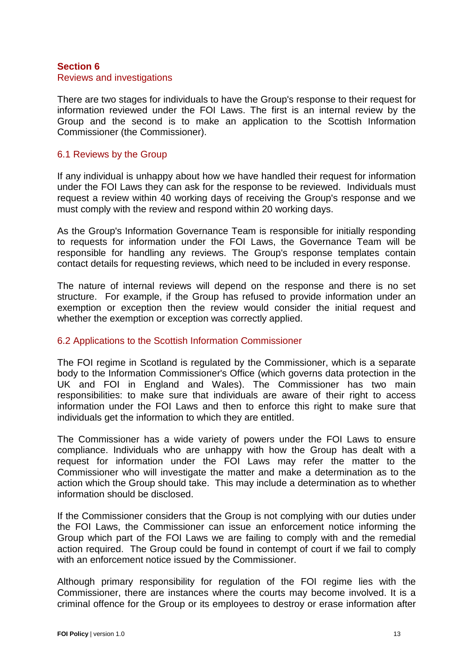#### **Section 6** Reviews and investigations

There are two stages for individuals to have the Group's response to their request for information reviewed under the FOI Laws. The first is an internal review by the Group and the second is to make an application to the Scottish Information Commissioner (the Commissioner).

## 6.1 Reviews by the Group

If any individual is unhappy about how we have handled their request for information under the FOI Laws they can ask for the response to be reviewed. Individuals must request a review within 40 working days of receiving the Group's response and we must comply with the review and respond within 20 working days.

As the Group's Information Governance Team is responsible for initially responding to requests for information under the FOI Laws, the Governance Team will be responsible for handling any reviews. The Group's response templates contain contact details for requesting reviews, which need to be included in every response.

The nature of internal reviews will depend on the response and there is no set structure. For example, if the Group has refused to provide information under an exemption or exception then the review would consider the initial request and whether the exemption or exception was correctly applied.

# 6.2 Applications to the Scottish Information Commissioner

The FOI regime in Scotland is regulated by the Commissioner, which is a separate body to the Information Commissioner's Office (which governs data protection in the UK and FOI in England and Wales). The Commissioner has two main responsibilities: to make sure that individuals are aware of their right to access information under the FOI Laws and then to enforce this right to make sure that individuals get the information to which they are entitled.

The Commissioner has a wide variety of powers under the FOI Laws to ensure compliance. Individuals who are unhappy with how the Group has dealt with a request for information under the FOI Laws may refer the matter to the Commissioner who will investigate the matter and make a determination as to the action which the Group should take. This may include a determination as to whether information should be disclosed.

If the Commissioner considers that the Group is not complying with our duties under the FOI Laws, the Commissioner can issue an enforcement notice informing the Group which part of the FOI Laws we are failing to comply with and the remedial action required. The Group could be found in contempt of court if we fail to comply with an enforcement notice issued by the Commissioner.

Although primary responsibility for regulation of the FOI regime lies with the Commissioner, there are instances where the courts may become involved. It is a criminal offence for the Group or its employees to destroy or erase information after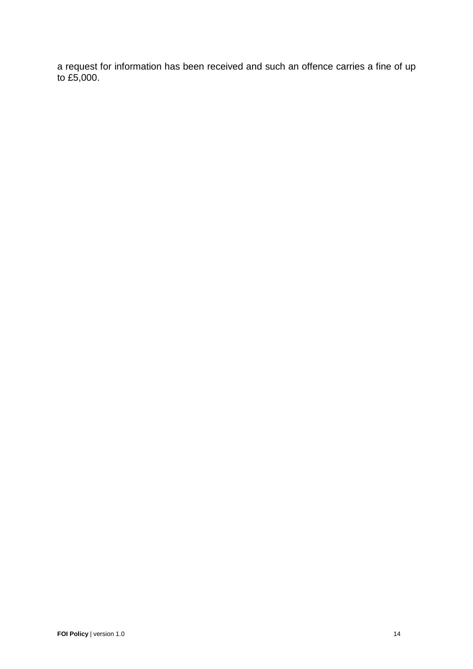a request for information has been received and such an offence carries a fine of up to £5,000.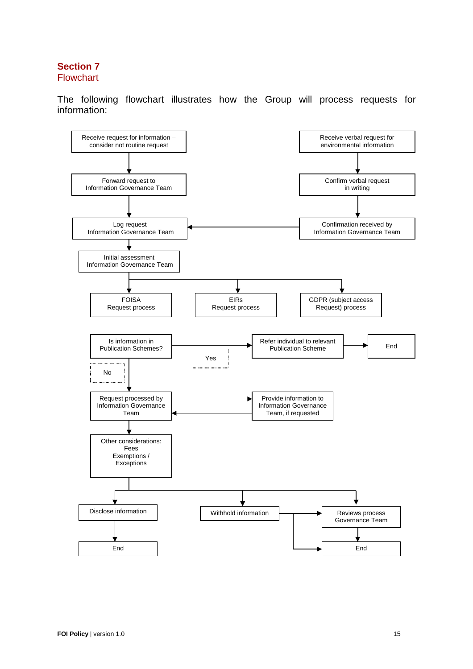## **Section 7** Flowchart

The following flowchart illustrates how the Group will process requests for information: